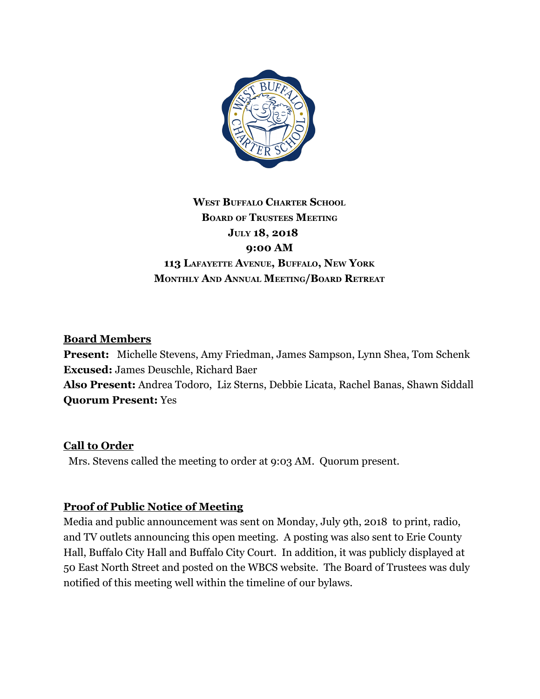

## **WEST BUFFALO CHARTER SCHOOL BOARD OF TRUSTEES MEETING JULY 18, 2018 9:00 AM 113 LAFAYETTE AVENUE, BUFFALO, NEW YORK MONTHLY AND ANNUAL MEETING/BOARD RETREAT**

### **Board Members**

**Present:** Michelle Stevens, Amy Friedman, James Sampson, Lynn Shea, Tom Schenk **Excused:** James Deuschle, Richard Baer **Also Present:** Andrea Todoro, Liz Sterns, Debbie Licata, Rachel Banas, Shawn Siddall **Quorum Present:** Yes

### **Call to Order**

Mrs. Stevens called the meeting to order at 9:03 AM. Quorum present.

### **Proof of Public Notice of Meeting**

Media and public announcement was sent on Monday, July 9th, 2018 to print, radio, and TV outlets announcing this open meeting. A posting was also sent to Erie County Hall, Buffalo City Hall and Buffalo City Court. In addition, it was publicly displayed at 50 East North Street and posted on the WBCS website. The Board of Trustees was duly notified of this meeting well within the timeline of our bylaws.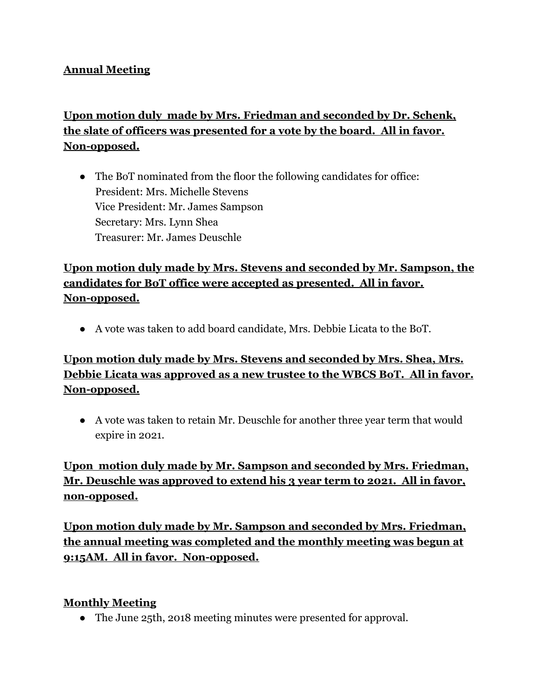### **Annual Meeting**

## **Upon motion duly made by Mrs. Friedman and seconded by Dr. Schenk, the slate of officers was presented for a vote by the board. All in favor. Non-opposed.**

• The BoT nominated from the floor the following candidates for office: President: Mrs. Michelle Stevens Vice President: Mr. James Sampson Secretary: Mrs. Lynn Shea Treasurer: Mr. James Deuschle

## **Upon motion duly made by Mrs. Stevens and seconded by Mr. Sampson, the candidates for BoT office were accepted as presented. All in favor. Non-opposed.**

● A vote was taken to add board candidate, Mrs. Debbie Licata to the BoT.

## **Upon motion duly made by Mrs. Stevens and seconded by Mrs. Shea, Mrs. Debbie Licata was approved as a new trustee to the WBCS BoT. All in favor. Non-opposed.**

● A vote was taken to retain Mr. Deuschle for another three year term that would expire in 2021.

## **Upon motion duly made by Mr. Sampson and seconded by Mrs. Friedman, Mr. Deuschle was approved to extend his 3 year term to 2021. All in favor, non-opposed.**

**Upon motion duly made by Mr. Sampson and seconded by Mrs. Friedman, the annual meeting was completed and the monthly meeting was begun at 9:15AM. All in favor. Non-opposed.**

#### **Monthly Meeting**

• The June 25th, 2018 meeting minutes were presented for approval.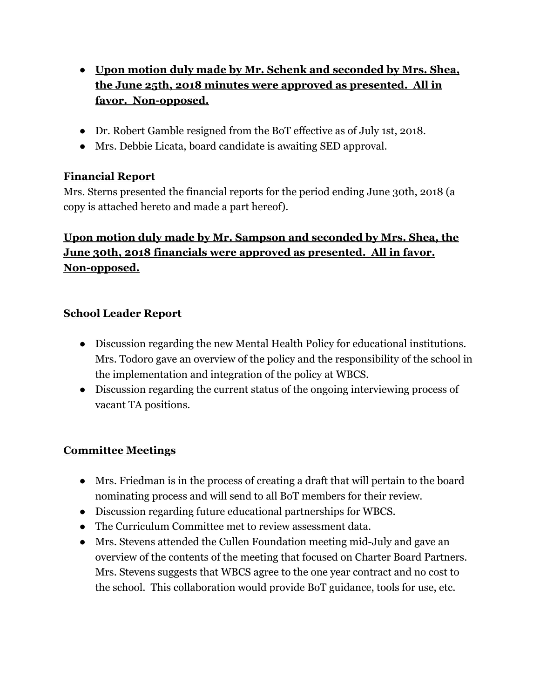- **Upon motion duly made by Mr. Schenk and seconded by Mrs. Shea, the June 25th, 2018 minutes were approved as presented. All in favor. Non-opposed.**
- Dr. Robert Gamble resigned from the BoT effective as of July 1st, 2018.
- Mrs. Debbie Licata, board candidate is awaiting SED approval.

## **Financial Report**

Mrs. Sterns presented the financial reports for the period ending June 30th, 2018 (a copy is attached hereto and made a part hereof).

## **Upon motion duly made by Mr. Sampson and seconded by Mrs. Shea, the June 30th, 2018 financials were approved as presented. All in favor. Non-opposed.**

### **School Leader Report**

- Discussion regarding the new Mental Health Policy for educational institutions. Mrs. Todoro gave an overview of the policy and the responsibility of the school in the implementation and integration of the policy at WBCS.
- Discussion regarding the current status of the ongoing interviewing process of vacant TA positions.

### **Committee Meetings**

- Mrs. Friedman is in the process of creating a draft that will pertain to the board nominating process and will send to all BoT members for their review.
- Discussion regarding future educational partnerships for WBCS.
- The Curriculum Committee met to review assessment data.
- Mrs. Stevens attended the Cullen Foundation meeting mid-July and gave an overview of the contents of the meeting that focused on Charter Board Partners. Mrs. Stevens suggests that WBCS agree to the one year contract and no cost to the school. This collaboration would provide BoT guidance, tools for use, etc.